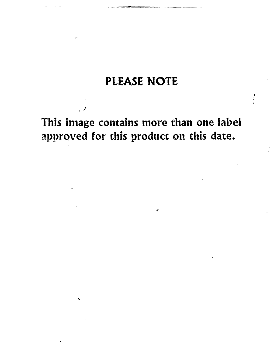# **PLEASE NOTE**

This image contains more than one label approved for this product on this date.

 $\overline{\bullet}$  :

, y

j,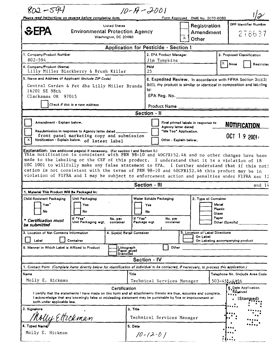| Registration<br><b>United States</b><br>EPA<br><b>Environmental Protection Agency</b><br><b>Amendment</b><br>Washington, DC 20460<br>x<br>Other<br>Application for Pesticide - Section I<br>1. Company/Product Number<br>2. EPA Product Manager<br>3. Proposed Classification<br>$802 - 594$<br>Jim Tompkins<br>X.<br><b>None</b><br>4. Company/Product (Name)<br><b>PM#</b><br>Lilly Miller Blackberry & Brush Killer<br>25<br>5. Name and Address of Applicant (Include ZIP Code)<br>Central Garden & Pet dba Lilly Miller Brands<br>to:<br>16201 SE 98th<br>Clackamas OR 97015<br>Check if this is a new address<br>Product Name<br>Section - II<br>Amendment - Explain below.<br>Final printed labels in response to<br><b>NOTIFICATION</b><br>Agency letter dated<br>Resubmission in response to Agency letter dated __<br>"Me Too" Application.<br>OCT 19 2001.<br>front panel marketing copy and submission<br>Notification - Explain below. of latest label<br>x<br>Other - Explain below.<br>Explanation: Use additional page(s) if necessary. (For section I and Section II.)<br>This notification is consistent with PRN 98-10 and 40CFR152.46 and no other changes have been<br>made to the labeling or the CSF of this product. I understand that it is a violation of 18<br>USC 1001 to willfully make any false statement to EPA. I further understand that if this noti<br>cation is not consistent with the terms of PRN 98-10 and 40CFR152.46 this product may be in<br>violation of FIFRA and I may be subject to enforcement action and penalties under FIFRA sec 12<br>Section - III<br>1. Material This Product Will Be Packaged In:<br>Water Soluble Packaging<br><b>Unit Packaging</b><br>Child-Resistant Packaging<br>2. Type of Container<br>Me tal<br>Yes<br>Yes'<br>Yes<br>Piastic<br>No<br>No<br>No<br>Glass<br>Paper<br>If "Yes"<br>If "Yes"<br>No. per<br>No. per<br><b>Certification must</b><br>Unit Packaging wgt.<br>container<br>Package wgt<br>container<br>Other (Specify)<br>be submitted<br>3. Location of Net Contents Information<br>5. Location of Label Directions<br>4. Size(s) Retail Container<br>On Label<br>Container<br>Label<br>On Labeling accompanying product<br>6. Manner in Which Label is Affixed to Product<br>Other<br>Lithograph<br>Paper glued<br>Stenciled<br>Section - IV<br>1. Contact Point (Complete items directly below for identification of individual to be contected, if necessary, to process this application.)<br>Name<br>Title<br>Telephone No. (Include Area Code<br>Molly E. Hickman<br>Technical Services Manager<br>$503 - 451 - 4436$<br>6. Date Application<br>Certification<br>Roquived<br>I certify that the statements I have made on this form and all attachments thereto are true, accurate and complete.<br>I acknowledge that any knowingly false or misleading statement may be punishable by fine or imprisonment or<br>(Stamped)<br>both under applicable law,<br>2. Signature<br>3. Title<br>Nolly Ettickman<br>Technical Services Manager<br>4. Typed Name<br>5. Date<br>Molly E. Hickman<br>$10 - 12 - 01$ | $802 - 544$ | Please read instructions on reverse before completing form. | $10 - 19 - 2001$ |                                                                                                                                         | Form Approved. OMB No. 2070-0060 |                                        |  |  |
|------------------------------------------------------------------------------------------------------------------------------------------------------------------------------------------------------------------------------------------------------------------------------------------------------------------------------------------------------------------------------------------------------------------------------------------------------------------------------------------------------------------------------------------------------------------------------------------------------------------------------------------------------------------------------------------------------------------------------------------------------------------------------------------------------------------------------------------------------------------------------------------------------------------------------------------------------------------------------------------------------------------------------------------------------------------------------------------------------------------------------------------------------------------------------------------------------------------------------------------------------------------------------------------------------------------------------------------------------------------------------------------------------------------------------------------------------------------------------------------------------------------------------------------------------------------------------------------------------------------------------------------------------------------------------------------------------------------------------------------------------------------------------------------------------------------------------------------------------------------------------------------------------------------------------------------------------------------------------------------------------------------------------------------------------------------------------------------------------------------------------------------------------------------------------------------------------------------------------------------------------------------------------------------------------------------------------------------------------------------------------------------------------------------------------------------------------------------------------------------------------------------------------------------------------------------------------------------------------------------------------------------------------------------------------------------------------------------------------------------------------------------------------------------------------------------------------------------------------------------------------------------------------------------------------------------------------------------------------------------------------------------------------------------------------------------------------------------------------------|-------------|-------------------------------------------------------------|------------------|-----------------------------------------------------------------------------------------------------------------------------------------|----------------------------------|----------------------------------------|--|--|
|                                                                                                                                                                                                                                                                                                                                                                                                                                                                                                                                                                                                                                                                                                                                                                                                                                                                                                                                                                                                                                                                                                                                                                                                                                                                                                                                                                                                                                                                                                                                                                                                                                                                                                                                                                                                                                                                                                                                                                                                                                                                                                                                                                                                                                                                                                                                                                                                                                                                                                                                                                                                                                                                                                                                                                                                                                                                                                                                                                                                                                                                                                            |             |                                                             |                  |                                                                                                                                         |                                  | <b>OPP Identifier Number</b><br>278637 |  |  |
|                                                                                                                                                                                                                                                                                                                                                                                                                                                                                                                                                                                                                                                                                                                                                                                                                                                                                                                                                                                                                                                                                                                                                                                                                                                                                                                                                                                                                                                                                                                                                                                                                                                                                                                                                                                                                                                                                                                                                                                                                                                                                                                                                                                                                                                                                                                                                                                                                                                                                                                                                                                                                                                                                                                                                                                                                                                                                                                                                                                                                                                                                                            |             |                                                             |                  |                                                                                                                                         |                                  |                                        |  |  |
|                                                                                                                                                                                                                                                                                                                                                                                                                                                                                                                                                                                                                                                                                                                                                                                                                                                                                                                                                                                                                                                                                                                                                                                                                                                                                                                                                                                                                                                                                                                                                                                                                                                                                                                                                                                                                                                                                                                                                                                                                                                                                                                                                                                                                                                                                                                                                                                                                                                                                                                                                                                                                                                                                                                                                                                                                                                                                                                                                                                                                                                                                                            |             |                                                             |                  |                                                                                                                                         |                                  |                                        |  |  |
|                                                                                                                                                                                                                                                                                                                                                                                                                                                                                                                                                                                                                                                                                                                                                                                                                                                                                                                                                                                                                                                                                                                                                                                                                                                                                                                                                                                                                                                                                                                                                                                                                                                                                                                                                                                                                                                                                                                                                                                                                                                                                                                                                                                                                                                                                                                                                                                                                                                                                                                                                                                                                                                                                                                                                                                                                                                                                                                                                                                                                                                                                                            |             |                                                             |                  |                                                                                                                                         |                                  | Restricted                             |  |  |
|                                                                                                                                                                                                                                                                                                                                                                                                                                                                                                                                                                                                                                                                                                                                                                                                                                                                                                                                                                                                                                                                                                                                                                                                                                                                                                                                                                                                                                                                                                                                                                                                                                                                                                                                                                                                                                                                                                                                                                                                                                                                                                                                                                                                                                                                                                                                                                                                                                                                                                                                                                                                                                                                                                                                                                                                                                                                                                                                                                                                                                                                                                            |             |                                                             |                  |                                                                                                                                         |                                  |                                        |  |  |
|                                                                                                                                                                                                                                                                                                                                                                                                                                                                                                                                                                                                                                                                                                                                                                                                                                                                                                                                                                                                                                                                                                                                                                                                                                                                                                                                                                                                                                                                                                                                                                                                                                                                                                                                                                                                                                                                                                                                                                                                                                                                                                                                                                                                                                                                                                                                                                                                                                                                                                                                                                                                                                                                                                                                                                                                                                                                                                                                                                                                                                                                                                            |             |                                                             |                  | 6. Expedited Review. In accordance with FIFRA Section 3(c)(3)<br>(b)(i), my product is similar or identical in composition and labeling |                                  |                                        |  |  |
|                                                                                                                                                                                                                                                                                                                                                                                                                                                                                                                                                                                                                                                                                                                                                                                                                                                                                                                                                                                                                                                                                                                                                                                                                                                                                                                                                                                                                                                                                                                                                                                                                                                                                                                                                                                                                                                                                                                                                                                                                                                                                                                                                                                                                                                                                                                                                                                                                                                                                                                                                                                                                                                                                                                                                                                                                                                                                                                                                                                                                                                                                                            |             |                                                             |                  |                                                                                                                                         |                                  |                                        |  |  |
|                                                                                                                                                                                                                                                                                                                                                                                                                                                                                                                                                                                                                                                                                                                                                                                                                                                                                                                                                                                                                                                                                                                                                                                                                                                                                                                                                                                                                                                                                                                                                                                                                                                                                                                                                                                                                                                                                                                                                                                                                                                                                                                                                                                                                                                                                                                                                                                                                                                                                                                                                                                                                                                                                                                                                                                                                                                                                                                                                                                                                                                                                                            |             |                                                             |                  |                                                                                                                                         |                                  |                                        |  |  |
|                                                                                                                                                                                                                                                                                                                                                                                                                                                                                                                                                                                                                                                                                                                                                                                                                                                                                                                                                                                                                                                                                                                                                                                                                                                                                                                                                                                                                                                                                                                                                                                                                                                                                                                                                                                                                                                                                                                                                                                                                                                                                                                                                                                                                                                                                                                                                                                                                                                                                                                                                                                                                                                                                                                                                                                                                                                                                                                                                                                                                                                                                                            |             |                                                             |                  |                                                                                                                                         |                                  |                                        |  |  |
|                                                                                                                                                                                                                                                                                                                                                                                                                                                                                                                                                                                                                                                                                                                                                                                                                                                                                                                                                                                                                                                                                                                                                                                                                                                                                                                                                                                                                                                                                                                                                                                                                                                                                                                                                                                                                                                                                                                                                                                                                                                                                                                                                                                                                                                                                                                                                                                                                                                                                                                                                                                                                                                                                                                                                                                                                                                                                                                                                                                                                                                                                                            |             |                                                             |                  |                                                                                                                                         |                                  | and $14$                               |  |  |
|                                                                                                                                                                                                                                                                                                                                                                                                                                                                                                                                                                                                                                                                                                                                                                                                                                                                                                                                                                                                                                                                                                                                                                                                                                                                                                                                                                                                                                                                                                                                                                                                                                                                                                                                                                                                                                                                                                                                                                                                                                                                                                                                                                                                                                                                                                                                                                                                                                                                                                                                                                                                                                                                                                                                                                                                                                                                                                                                                                                                                                                                                                            |             |                                                             |                  |                                                                                                                                         |                                  |                                        |  |  |
|                                                                                                                                                                                                                                                                                                                                                                                                                                                                                                                                                                                                                                                                                                                                                                                                                                                                                                                                                                                                                                                                                                                                                                                                                                                                                                                                                                                                                                                                                                                                                                                                                                                                                                                                                                                                                                                                                                                                                                                                                                                                                                                                                                                                                                                                                                                                                                                                                                                                                                                                                                                                                                                                                                                                                                                                                                                                                                                                                                                                                                                                                                            |             |                                                             |                  |                                                                                                                                         |                                  |                                        |  |  |
|                                                                                                                                                                                                                                                                                                                                                                                                                                                                                                                                                                                                                                                                                                                                                                                                                                                                                                                                                                                                                                                                                                                                                                                                                                                                                                                                                                                                                                                                                                                                                                                                                                                                                                                                                                                                                                                                                                                                                                                                                                                                                                                                                                                                                                                                                                                                                                                                                                                                                                                                                                                                                                                                                                                                                                                                                                                                                                                                                                                                                                                                                                            |             |                                                             |                  |                                                                                                                                         |                                  |                                        |  |  |
|                                                                                                                                                                                                                                                                                                                                                                                                                                                                                                                                                                                                                                                                                                                                                                                                                                                                                                                                                                                                                                                                                                                                                                                                                                                                                                                                                                                                                                                                                                                                                                                                                                                                                                                                                                                                                                                                                                                                                                                                                                                                                                                                                                                                                                                                                                                                                                                                                                                                                                                                                                                                                                                                                                                                                                                                                                                                                                                                                                                                                                                                                                            |             |                                                             |                  |                                                                                                                                         |                                  |                                        |  |  |
|                                                                                                                                                                                                                                                                                                                                                                                                                                                                                                                                                                                                                                                                                                                                                                                                                                                                                                                                                                                                                                                                                                                                                                                                                                                                                                                                                                                                                                                                                                                                                                                                                                                                                                                                                                                                                                                                                                                                                                                                                                                                                                                                                                                                                                                                                                                                                                                                                                                                                                                                                                                                                                                                                                                                                                                                                                                                                                                                                                                                                                                                                                            |             |                                                             |                  |                                                                                                                                         |                                  |                                        |  |  |
|                                                                                                                                                                                                                                                                                                                                                                                                                                                                                                                                                                                                                                                                                                                                                                                                                                                                                                                                                                                                                                                                                                                                                                                                                                                                                                                                                                                                                                                                                                                                                                                                                                                                                                                                                                                                                                                                                                                                                                                                                                                                                                                                                                                                                                                                                                                                                                                                                                                                                                                                                                                                                                                                                                                                                                                                                                                                                                                                                                                                                                                                                                            |             |                                                             |                  |                                                                                                                                         |                                  |                                        |  |  |
|                                                                                                                                                                                                                                                                                                                                                                                                                                                                                                                                                                                                                                                                                                                                                                                                                                                                                                                                                                                                                                                                                                                                                                                                                                                                                                                                                                                                                                                                                                                                                                                                                                                                                                                                                                                                                                                                                                                                                                                                                                                                                                                                                                                                                                                                                                                                                                                                                                                                                                                                                                                                                                                                                                                                                                                                                                                                                                                                                                                                                                                                                                            |             |                                                             |                  |                                                                                                                                         |                                  |                                        |  |  |
|                                                                                                                                                                                                                                                                                                                                                                                                                                                                                                                                                                                                                                                                                                                                                                                                                                                                                                                                                                                                                                                                                                                                                                                                                                                                                                                                                                                                                                                                                                                                                                                                                                                                                                                                                                                                                                                                                                                                                                                                                                                                                                                                                                                                                                                                                                                                                                                                                                                                                                                                                                                                                                                                                                                                                                                                                                                                                                                                                                                                                                                                                                            |             |                                                             |                  |                                                                                                                                         |                                  |                                        |  |  |
|                                                                                                                                                                                                                                                                                                                                                                                                                                                                                                                                                                                                                                                                                                                                                                                                                                                                                                                                                                                                                                                                                                                                                                                                                                                                                                                                                                                                                                                                                                                                                                                                                                                                                                                                                                                                                                                                                                                                                                                                                                                                                                                                                                                                                                                                                                                                                                                                                                                                                                                                                                                                                                                                                                                                                                                                                                                                                                                                                                                                                                                                                                            |             |                                                             |                  |                                                                                                                                         |                                  |                                        |  |  |
|                                                                                                                                                                                                                                                                                                                                                                                                                                                                                                                                                                                                                                                                                                                                                                                                                                                                                                                                                                                                                                                                                                                                                                                                                                                                                                                                                                                                                                                                                                                                                                                                                                                                                                                                                                                                                                                                                                                                                                                                                                                                                                                                                                                                                                                                                                                                                                                                                                                                                                                                                                                                                                                                                                                                                                                                                                                                                                                                                                                                                                                                                                            |             |                                                             |                  |                                                                                                                                         |                                  |                                        |  |  |
|                                                                                                                                                                                                                                                                                                                                                                                                                                                                                                                                                                                                                                                                                                                                                                                                                                                                                                                                                                                                                                                                                                                                                                                                                                                                                                                                                                                                                                                                                                                                                                                                                                                                                                                                                                                                                                                                                                                                                                                                                                                                                                                                                                                                                                                                                                                                                                                                                                                                                                                                                                                                                                                                                                                                                                                                                                                                                                                                                                                                                                                                                                            |             |                                                             |                  |                                                                                                                                         |                                  |                                        |  |  |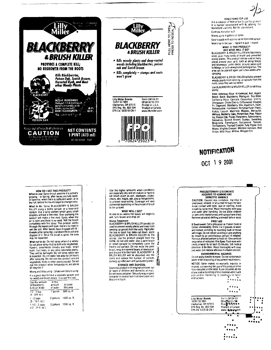



### **NIRECTIONS FOR USE** It is a violation of Federal law to use this product in a manner inconsistent with its labeling. For<br>In a manner inconsistent with its labeling. For

Controls horsefail rush Makes up to 4 gallons of spray

Easy to apply with a pump-up or hose-end sprayer Won't harm the soil - replant in just 1 month

## WHAT IS THIS PRODUCT?

WHAT IS THIS PRODUCT.<br>BLACKBERRY & BRUSH KILLER Kills blackberry<br>Vines, plus many kinds of brush and unwanted vines, plus many kinds or under the used in many<br>woody plants. This product can be used in many<br>places around your yard, such as along fences<br>and driveways, under decks, around patios and<br>buildings, or in driveways and par area can be planted again just a few weeks after spraying.

BLACKBERRY & BRUSH KILLER will also prevent woody plants from sending up sprouts from the<br>woody plants from sending up sprouts from the<br>roots, once they are cut down.

Use BLACKBERRY & BRUSH KILLER to kill these plants

Finanzia, Arkansas Rose, Arrowwood, Ash, Aspen,<br>Beech, Birch, Blackberry, Blackgum, Box Edder,<br>California Rose, Cascara, Ceanothus, Cherry,<br>Chinquapin, Choke Cherry, Cottonwood, Douglas<br>Chinquapin, Choke Cherry, Cuttonwood Computer Critics Computer Committee Districts Fire Dogwood, Elderberry, Elm, Hawthorn, Hazel, Honeysuckle, Hornbeam, Horsetal Rush (Fielo), Locust, Magdzu, Magdzuite, Kutarone, Magdes, Mesquite, Minnosa, Multery, Oaks, Persimmon, Pine, Polson<br>Itw, Poisson Oak, Poplar, Raspberry, Salmonberry, Oaks, Persimmon, Sumarc

# **NOTIFICATION** nct 19 2001

#### HOW DO I USE THIS PRODUCT?

How but I take the any brush anytime it is actively<br>growing – in Spring, after leaves are fully open,<br>in Summer, when there is sufficient water, or in<br>the Fall, before the leaves begin to change color. What to do: Spray BLACKBERRY & BRUSH What he was a prime processor of a hose-end<br>sprayer, tise a spray pattern which gives small<br>droplets without a line mist, Over-pumping the sprayer will make a fine mist. Spray when the<br>air is calm and there is no wind. Wet the brush<br>completely with the spray. This product works<br>through the leaves and bark: there's no need to wet the soil. After leaves have dropped off (4 - 6 weeks after spraying), cut down the brush and dispose of it. Once the brush is gone, the area may be replanted

What not to do: Do not spray when it is windy Do not allow spray mist to drift onto vegetables.<br>Howers, ornamental shrubs and trees. small They will be damaged. Do not spray when rain<br>They will be damaged. Do not spray when rain<br>is expected. Do not water the area for 24 hours after spraying. Do not use this product around vegetables, fruits or other plants you eat. Do not use this product when temperatures are above 85 degrees F.

Mixing and Measuring - Shake well before using. It's a good idea to have a separate sprayer just for weed and brush killers, to avoid mix-ups.

| Use this amount<br>of Blackberry<br>& Brush Killer | in this<br>amount<br>of water | to cover<br>this area |
|----------------------------------------------------|-------------------------------|-----------------------|
| $1/2 - 1$ CUD<br>$(4 - 8$ fl. oz.)                 | 1 gallon                      | 500 sq. ft.           |
| $1 - 2$ cups<br>$(8 - 16$ ii. oz.)                 | 2 gallons                     | 1000 sq. ft.          |
| $1 - 1/2 - 3$ cups<br>$(12 - 24$ fl. 02.)          | 3 gallons                     | 1500 sq. ft.          |

Use the higher amounts when conditions are especially dry and on mature or hard to<br>kill brush (such as ash, blackgum, choke-<br>cherry, elm, maple, oak, pine or winged elm), to prevent resprouting. Coverage will vary to be sprayed

WHAT WILL I SEE? In one to six weeks the leaves will begin to will, turn brown and drop off. Stump Treatment:

BLACKBERRY & BRUSH KILLER can also be used to prevent woody plants and trees from searching up sprouts from the roots. Right after<br>the tree or bush has been cut down, apply<br>BLACKBERRY & BRUSH KILLER to the<br>stump. Use the product straight from the bottle, do not add water. Use a paint brush<br>or small sprayer to completely cover the freshly cut surface. Do not reuse the paint<br>brush; wrap it in several layers of newspaper and discard it in the trash. BLACKBERRY &<br>BRUSH KILLER will be absorbed into the<br>roots and reduce the number of sprouts coming up in the lawn and surrounding areas. R STORAGE AND DISPOSAL

44892

Store this product in its original container out<br>of reach of children and domestic animals<br>Do not reuse container. Securely wrap original container in several layers of newspaper and discard in trash

#### PRECAUTIONARY STATEMENTS HAZARDS TO HUMANS AND<br>DOMESTIC ANIMALS

CAUTION: Causes eye irritation. Harmful if<br>swallowed, inhaled, or absorbed through the skin. Avoid contact with eyes, skin or clothing. Avoid<br>breathing spray mist. Wash thoroughly with soap and water after handling. Do not allow children<br>or pets onto treated areas until sprays have dried.<br>Remove saturated clothing and wash before reuse.

#### **FIRST AID**

If Swallowed: Call a physician or Poison Control<br>Center immediately. Drink 1 or 2 glasses of water<br>and induce vomiting by touching back of throat and moder voluming by touching or give anything<br>with finger. Do not induce vomiting or give anything<br>by mouth to an unconscious person. If Inhaled:<br>Remove affected person to fresh air. Give artificial<br>respiration if indica plenty of water for at least 15 minutes. Get medical attention. If On Skin: Wash thoroughly with soap and water. Get medical attention if irritation persists

#### **ENVIRONMENTAL HAZARDS**

Do not apply directly to water. Do not contaminate water when disposing of equipment washwaters. NOTICE: Seller makes no warranty, express or implied, concerning the use of this product other<br>than indicated on the label. Buyer assumes all risk of use and/or handling of this material when such<br>use and/or handling is contrary to label instructions. . . . . .

> e na g  $...$

> > ።

Lilly Miller Brands<br>16201 SE 98th Clackamas, OR 97015 EPA Reg. No. 802-594 EPA Est. 033518-CN-1

Form LM104-01 09 60 60 10-7/01 Printed in U.S.R. www.librarde.com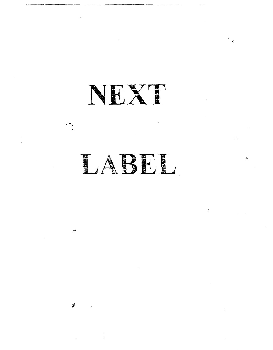NEXT

# LABEL

 $\pm$ 

 $\frac{1}{2}$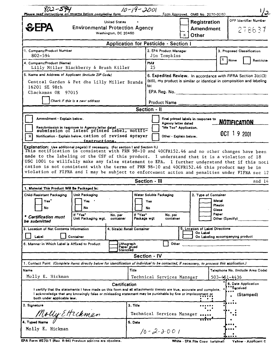| $802 - 594$<br>Please read instructions on reverse before completing form                                                                                                                                                                                                                                                                                                                                                                                                                                                                                                          |                                                                                        |                                              | $10 - 19 - 2001$                       |                                                                                                                                                                                           |                                                                        |  | Form Approved. OMB No. 2070-0060            |                                        | 2∕ا                                                     |
|------------------------------------------------------------------------------------------------------------------------------------------------------------------------------------------------------------------------------------------------------------------------------------------------------------------------------------------------------------------------------------------------------------------------------------------------------------------------------------------------------------------------------------------------------------------------------------|----------------------------------------------------------------------------------------|----------------------------------------------|----------------------------------------|-------------------------------------------------------------------------------------------------------------------------------------------------------------------------------------------|------------------------------------------------------------------------|--|---------------------------------------------|----------------------------------------|---------------------------------------------------------|
| <b>SEPA</b>                                                                                                                                                                                                                                                                                                                                                                                                                                                                                                                                                                        | <b>United States</b><br><b>Environmental Protection Agency</b><br>Washington, DC 20460 |                                              |                                        |                                                                                                                                                                                           | Registration<br><b>Amendment</b><br><b>Other</b><br>x                  |  |                                             | <b>OPP Identifier Number</b><br>278637 |                                                         |
|                                                                                                                                                                                                                                                                                                                                                                                                                                                                                                                                                                                    |                                                                                        | <b>Application for Pesticide - Section I</b> |                                        |                                                                                                                                                                                           |                                                                        |  |                                             |                                        |                                                         |
| 1. Company/Product Number<br>802-594                                                                                                                                                                                                                                                                                                                                                                                                                                                                                                                                               |                                                                                        |                                              |                                        |                                                                                                                                                                                           | 2. EPA Product Manager<br>Jim Tompkins                                 |  |                                             |                                        | 3. Proposed Classification                              |
| 4. Company/Product (Name)<br>Lilly Miller Blackberry & Brush Killer                                                                                                                                                                                                                                                                                                                                                                                                                                                                                                                |                                                                                        |                                              |                                        | <b>PM</b><br>25                                                                                                                                                                           |                                                                        |  |                                             | x                                      | None<br>Restricte                                       |
| 5. Name and Address of Applicant (Include ZIP Code)<br>Central Garden & Pet dba Lilly Miller Brands<br>16201 SE 98th<br>Clackamas OR 97015<br>Check if this is a new address                                                                                                                                                                                                                                                                                                                                                                                                       |                                                                                        |                                              |                                        | 6. Expedited Review. In accordance with FIFRA Section 3(c)(3)<br>(b)(i), my product is similar or identical in composition and labeling<br>to:<br>$EPA$ $Reg.$ No. $\Box$<br>Product Name |                                                                        |  |                                             |                                        |                                                         |
|                                                                                                                                                                                                                                                                                                                                                                                                                                                                                                                                                                                    |                                                                                        |                                              |                                        | Section - II                                                                                                                                                                              |                                                                        |  |                                             |                                        |                                                         |
| Amendment - Explain below.<br>Resubmission in response to Agency letter dated<br>submission of latest printed label, notifi-<br>Notification - Explain below. cation of revised sprayer<br>$\mathbf x$                                                                                                                                                                                                                                                                                                                                                                             | instructions.                                                                          |                                              |                                        |                                                                                                                                                                                           | Agency letter dated<br>"Me Too" Application.<br>Other - Explain below. |  | Final printed labels in response to         |                                        | <b>NOTIFICATION</b><br>OCT 19 2001                      |
| Explanation: Use additional pagels) if necessary. (For section I and Section II.)<br>This notification is consistent with PRN 98-10 and 40CFR152.46 and no other changes have been<br>made to the labeling or the CSF of this product. I understand that it is a violation of 18<br>USC 1001 to willfully make any false statement to EPA. I further understand that if this noti<br>cation is not consistent with the terms of PRN 98-10 and 40CFR152.46 this product may be in<br>violation of FIFRA and I may be subject to enforcement action and penalties under FIFRA sec 12 |                                                                                        |                                              |                                        |                                                                                                                                                                                           |                                                                        |  |                                             |                                        |                                                         |
|                                                                                                                                                                                                                                                                                                                                                                                                                                                                                                                                                                                    |                                                                                        |                                              |                                        | Section - III                                                                                                                                                                             |                                                                        |  |                                             |                                        | and 14                                                  |
| 1. Material This Product Will Be Packaged In:<br>Child-Resistant Packaging<br>Yes<br>No<br>٠<br><b>Certification must</b><br>be submitted                                                                                                                                                                                                                                                                                                                                                                                                                                          | Unit Packaging<br>Yes<br>No<br>If "Yes"<br>Unit Packaging wgt.                         | No. per<br>container                         | If "Yes"<br>Package wgt                | Water Soluble Packaging<br>Yen<br>No                                                                                                                                                      | No. per<br>container                                                   |  | 2. Type of Container                        | Metal<br>Plastic<br>Glass<br>Paper     | Other (Specify)                                         |
| 3. Location of Net Contents Information<br>Label                                                                                                                                                                                                                                                                                                                                                                                                                                                                                                                                   | Container                                                                              | 4. Size(s) Retail Container                  |                                        |                                                                                                                                                                                           |                                                                        |  | 5. Location of Label Directions<br>On Label |                                        | On Labeling accompanying product                        |
| 6. Manner in Which Label is Affixed to Product                                                                                                                                                                                                                                                                                                                                                                                                                                                                                                                                     |                                                                                        |                                              | Lithograph<br>Paper glued<br>Stenciled |                                                                                                                                                                                           | Other                                                                  |  |                                             |                                        |                                                         |
|                                                                                                                                                                                                                                                                                                                                                                                                                                                                                                                                                                                    |                                                                                        |                                              |                                        | Section - IV                                                                                                                                                                              |                                                                        |  |                                             |                                        |                                                         |
| 1. Contact Point (Complete items directly below for identification of individual to be contacted, if necessary, to process this epplication.)                                                                                                                                                                                                                                                                                                                                                                                                                                      |                                                                                        |                                              |                                        |                                                                                                                                                                                           |                                                                        |  |                                             |                                        |                                                         |
| Name<br>Molly E. Hickman                                                                                                                                                                                                                                                                                                                                                                                                                                                                                                                                                           |                                                                                        |                                              | Title                                  |                                                                                                                                                                                           | Technical Services Manager                                             |  |                                             |                                        | Talephone No. (Include Area Code)<br>$503 - 451 - 4436$ |
| I certify that the statements I have made on this form and all attachments thereto are true, accurate and complete,<br>I acknowledge that any knowingly false or misleading statement may be punishable by fine or imprisonment or<br>both under applicable law.                                                                                                                                                                                                                                                                                                                   |                                                                                        | Certification                                |                                        |                                                                                                                                                                                           |                                                                        |  |                                             |                                        | 6. Date Application<br>Received<br>(Stamped)            |
| 2. Signature<br>Molly Ettickman                                                                                                                                                                                                                                                                                                                                                                                                                                                                                                                                                    |                                                                                        |                                              | 3. Title<br>Technical Services Manager |                                                                                                                                                                                           |                                                                        |  |                                             |                                        |                                                         |
| 4. Typed Name<br>Molly E. Hickman                                                                                                                                                                                                                                                                                                                                                                                                                                                                                                                                                  |                                                                                        |                                              | 5. Data                                |                                                                                                                                                                                           | $10 - 2 - 3 - 001$                                                     |  |                                             |                                        |                                                         |

EPA Form 8570-1 (Rev. 8-94) Previous editions are obsolete.